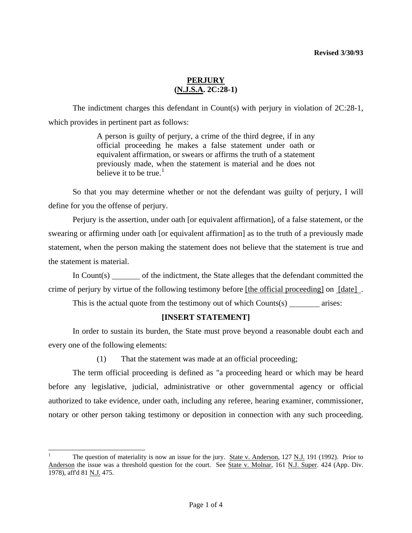The indictment charges this defendant in Count(s) with perjury in violation of 2C:28-1, which provides in pertinent part as follows:

> A person is guilty of perjury, a crime of the third degree, if in any official proceeding he makes a false statement under oath or equivalent affirmation, or swears or affirms the truth of a statement previously made, when the statement is material and he does not believe it to be true.<sup>[1](#page-0-0)</sup>

 So that you may determine whether or not the defendant was guilty of perjury, I will define for you the offense of perjury.

 Perjury is the assertion, under oath [or equivalent affirmation], of a false statement, or the swearing or affirming under oath [or equivalent affirmation] as to the truth of a previously made statement, when the person making the statement does not believe that the statement is true and the statement is material.

 In Count(s) of the indictment, the State alleges that the defendant committed the crime of perjury by virtue of the following testimony before [the official proceeding] on [date] .

This is the actual quote from the testimony out of which  $Counts(s)$  arises:

## **[INSERT STATEMENT]**

 In order to sustain its burden, the State must prove beyond a reasonable doubt each and every one of the following elements:

(1) That the statement was made at an official proceeding;

 The term official proceeding is defined as "a proceeding heard or which may be heard before any legislative, judicial, administrative or other governmental agency or official authorized to take evidence, under oath, including any referee, hearing examiner, commissioner, notary or other person taking testimony or deposition in connection with any such proceeding.

l

<span id="page-0-0"></span><sup>1</sup> The question of materiality is now an issue for the jury. State v. Anderson, 127 N.J. 191 (1992). Prior to Anderson the issue was a threshold question for the court. See State v. Molnar, 161 N.J. Super. 424 (App. Div. 1978), aff'd 81 N.J. 475.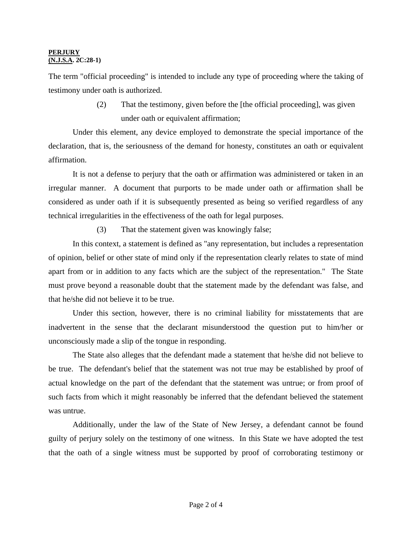The term "official proceeding" is intended to include any type of proceeding where the taking of testimony under oath is authorized.

> (2) That the testimony, given before the [the official proceeding], was given under oath or equivalent affirmation;

 Under this element, any device employed to demonstrate the special importance of the declaration, that is, the seriousness of the demand for honesty, constitutes an oath or equivalent affirmation.

 It is not a defense to perjury that the oath or affirmation was administered or taken in an irregular manner. A document that purports to be made under oath or affirmation shall be considered as under oath if it is subsequently presented as being so verified regardless of any technical irregularities in the effectiveness of the oath for legal purposes.

(3) That the statement given was knowingly false;

 In this context, a statement is defined as "any representation, but includes a representation of opinion, belief or other state of mind only if the representation clearly relates to state of mind apart from or in addition to any facts which are the subject of the representation." The State must prove beyond a reasonable doubt that the statement made by the defendant was false, and that he/she did not believe it to be true.

 Under this section, however, there is no criminal liability for misstatements that are inadvertent in the sense that the declarant misunderstood the question put to him/her or unconsciously made a slip of the tongue in responding.

 The State also alleges that the defendant made a statement that he/she did not believe to be true. The defendant's belief that the statement was not true may be established by proof of actual knowledge on the part of the defendant that the statement was untrue; or from proof of such facts from which it might reasonably be inferred that the defendant believed the statement was untrue.

 Additionally, under the law of the State of New Jersey, a defendant cannot be found guilty of perjury solely on the testimony of one witness. In this State we have adopted the test that the oath of a single witness must be supported by proof of corroborating testimony or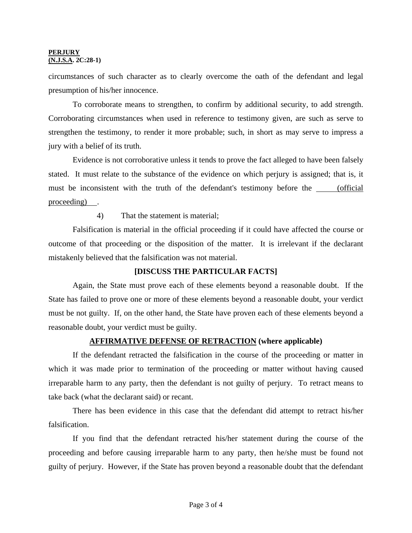circumstances of such character as to clearly overcome the oath of the defendant and legal presumption of his/her innocence.

 To corroborate means to strengthen, to confirm by additional security, to add strength. Corroborating circumstances when used in reference to testimony given, are such as serve to strengthen the testimony, to render it more probable; such, in short as may serve to impress a jury with a belief of its truth.

 Evidence is not corroborative unless it tends to prove the fact alleged to have been falsely stated. It must relate to the substance of the evidence on which perjury is assigned; that is, it must be inconsistent with the truth of the defendant's testimony before the <u>cofficial</u> proceeding) .

4) That the statement is material;

 Falsification is material in the official proceeding if it could have affected the course or outcome of that proceeding or the disposition of the matter. It is irrelevant if the declarant mistakenly believed that the falsification was not material.

## **[DISCUSS THE PARTICULAR FACTS]**

 Again, the State must prove each of these elements beyond a reasonable doubt. If the State has failed to prove one or more of these elements beyond a reasonable doubt, your verdict must be not guilty. If, on the other hand, the State have proven each of these elements beyond a reasonable doubt, your verdict must be guilty.

## **AFFIRMATIVE DEFENSE OF RETRACTION (where applicable)**

 If the defendant retracted the falsification in the course of the proceeding or matter in which it was made prior to termination of the proceeding or matter without having caused irreparable harm to any party, then the defendant is not guilty of perjury. To retract means to take back (what the declarant said) or recant.

 There has been evidence in this case that the defendant did attempt to retract his/her falsification.

 If you find that the defendant retracted his/her statement during the course of the proceeding and before causing irreparable harm to any party, then he/she must be found not guilty of perjury. However, if the State has proven beyond a reasonable doubt that the defendant